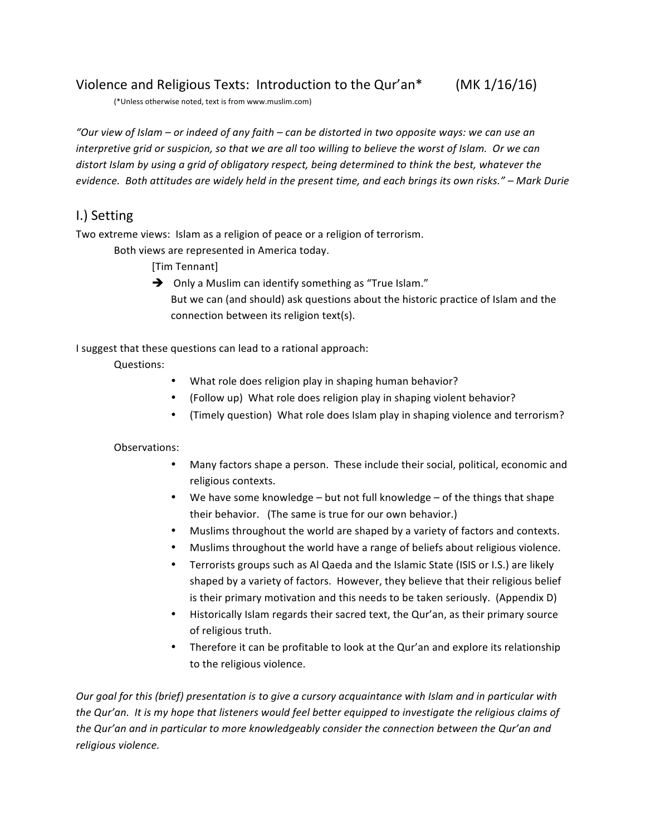# Violence and Religious Texts: Introduction to the Qur'an\*  $(MK 1/16/16)$

(\*Unless otherwise noted, text is from www.muslim.com)

*"Our view of Islam – or indeed of any faith – can be distorted in two opposite ways: we can use an interpretive grid or suspicion, so that we are all too willing to believe the worst of Islam. Or we can distort Islam by using a grid of obligatory respect, being determined to think the best, whatever the evidence. Both attitudes are widely held in the present time, and each brings its own risks." – Mark Durie*

# I.) Setting

Two extreme views: Islam as a religion of peace or a religion of terrorism.

Both views are represented in America today.

[Tim Tennant] 

 $\rightarrow$  Only a Muslim can identify something as "True Islam." But we can (and should) ask questions about the historic practice of Islam and the connection between its religion text(s).

I suggest that these questions can lead to a rational approach:

Questions: 

- What role does religion play in shaping human behavior?
- (Follow up) What role does religion play in shaping violent behavior?
- (Timely question) What role does Islam play in shaping violence and terrorism?

# Observations:

- Many factors shape a person. These include their social, political, economic and religious contexts.
- We have some knowledge  $-$  but not full knowledge  $-$  of the things that shape their behavior. (The same is true for our own behavior.)
- Muslims throughout the world are shaped by a variety of factors and contexts.
- Muslims throughout the world have a range of beliefs about religious violence.
- Terrorists groups such as Al Qaeda and the Islamic State (ISIS or I.S.) are likely shaped by a variety of factors. However, they believe that their religious belief is their primary motivation and this needs to be taken seriously. (Appendix D)
- Historically Islam regards their sacred text, the Qur'an, as their primary source of religious truth.
- Therefore it can be profitable to look at the Qur'an and explore its relationship to the religious violence.

*Our* goal for this (brief) presentation is to give a cursory acquaintance with Islam and in particular with the Qur'an. It is my hope that listeners would feel better equipped to investigate the religious claims of the Qur'an and in particular to more knowledgeably consider the connection between the Qur'an and religious violence.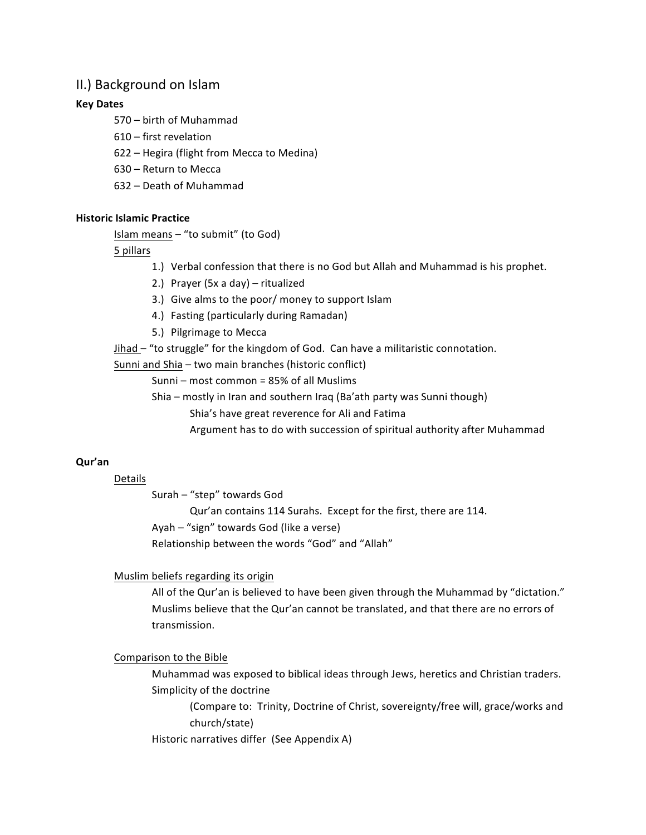# II.) Background on Islam

## **Key Dates**

- 570 birth of Muhammad
- $610$  first revelation
- 622 Hegira (flight from Mecca to Medina)
- 630 Return to Mecca
- 632 Death of Muhammad

# **Historic Islamic Practice**

Islam means – "to submit" (to God)

## 5 pillars

- 1.) Verbal confession that there is no God but Allah and Muhammad is his prophet.
- 2.) Prayer (5x a day)  $-$  ritualized
- 3.) Give alms to the poor/ money to support Islam
- 4.) Fasting (particularly during Ramadan)
- 5.) Pilgrimage to Mecca
- Jihad "to struggle" for the kingdom of God. Can have a militaristic connotation.

Sunni and Shia – two main branches (historic conflict)

Sunni – most common =  $85\%$  of all Muslims

Shia – mostly in Iran and southern Iraq (Ba'ath party was Sunni though)

Shia's have great reverence for Ali and Fatima

Argument has to do with succession of spiritual authority after Muhammad

## **Qur'an**

## Details

Surah – "step" towards God

Qur'an contains 114 Surahs. Except for the first, there are 114. Ayah – "sign" towards God (like a verse) Relationship between the words "God" and "Allah"

## Muslim beliefs regarding its origin

All of the Qur'an is believed to have been given through the Muhammad by "dictation." Muslims believe that the Qur'an cannot be translated, and that there are no errors of transmission. 

## Comparison to the Bible

Muhammad was exposed to biblical ideas through Jews, heretics and Christian traders. Simplicity of the doctrine

(Compare to: Trinity, Doctrine of Christ, sovereignty/free will, grace/works and church/state)

Historic narratives differ (See Appendix A)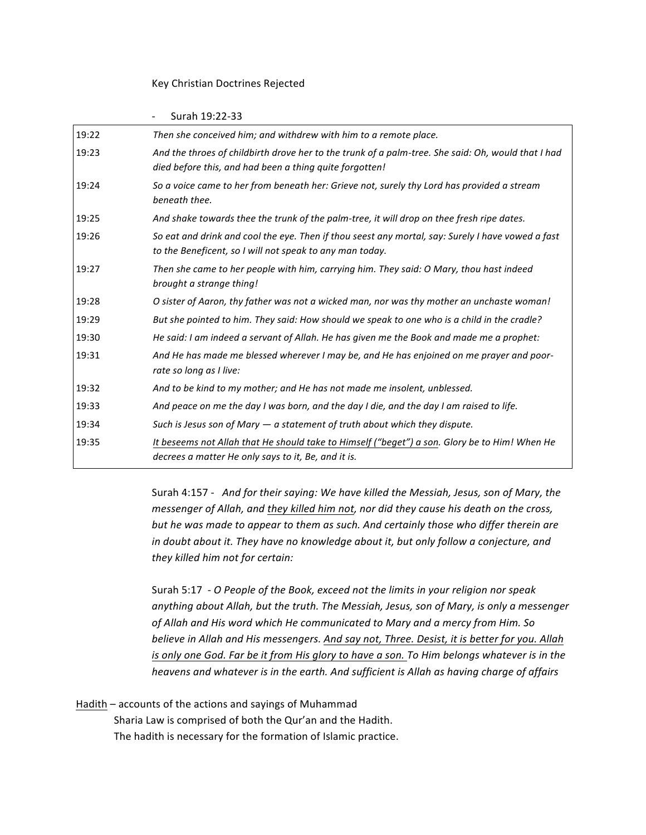#### Key Christian Doctrines Rejected

Surah 19:22-33

| 19:22 | Then she conceived him; and withdrew with him to a remote place.                                                                                              |
|-------|---------------------------------------------------------------------------------------------------------------------------------------------------------------|
| 19:23 | And the throes of childbirth drove her to the trunk of a palm-tree. She said: Oh, would that I had<br>died before this, and had been a thing quite forgotten! |
| 19:24 | So a voice came to her from beneath her: Grieve not, surely thy Lord has provided a stream<br>beneath thee.                                                   |
| 19:25 | And shake towards thee the trunk of the palm-tree, it will drop on thee fresh ripe dates.                                                                     |
| 19:26 | So eat and drink and cool the eye. Then if thou seest any mortal, say: Surely I have vowed a fast<br>to the Beneficent, so I will not speak to any man today. |
| 19:27 | Then she came to her people with him, carrying him. They said: O Mary, thou hast indeed<br>brought a strange thing!                                           |
| 19:28 | O sister of Aaron, thy father was not a wicked man, nor was thy mother an unchaste woman!                                                                     |
| 19:29 | But she pointed to him. They said: How should we speak to one who is a child in the cradle?                                                                   |
| 19:30 | He said: I am indeed a servant of Allah. He has given me the Book and made me a prophet:                                                                      |
| 19:31 | And He has made me blessed wherever I may be, and He has enjoined on me prayer and poor-<br>rate so long as I live:                                           |
| 19:32 | And to be kind to my mother; and He has not made me insolent, unblessed.                                                                                      |
| 19:33 | And peace on me the day I was born, and the day I die, and the day I am raised to life.                                                                       |
| 19:34 | Such is Jesus son of Mary $-$ a statement of truth about which they dispute.                                                                                  |
| 19:35 | It beseems not Allah that He should take to Himself ("beget") a son. Glory be to Him! When He<br>decrees a matter He only says to it, Be, and it is.          |

Surah 4:157 - And for their saying: We have killed the Messiah, Jesus, son of Mary, the *messenger of Allah, and they killed him not, nor did they cause his death on the cross, but* he was made to appear to them as such. And certainly those who differ therein are *in doubt about it. They have no knowledge about it, but only follow a conjecture, and they killed him not for certain:*

Surah 5:17 - *O* People of the Book, exceed not the limits in your religion nor speak anything about Allah, but the truth. The Messiah, Jesus, son of Mary, is only a messenger of Allah and His word which He communicated to Mary and a mercy from Him. So *believe in Allah and His messengers. And say not, Three. Desist, it is better for you. Allah is* only one God. Far be it from His glory to have a son. To Him belongs whatever is in the *heavens* and whatever is in the earth. And sufficient is Allah as having charge of affairs

Hadith – accounts of the actions and sayings of Muhammad

Sharia Law is comprised of both the Qur'an and the Hadith.

The hadith is necessary for the formation of Islamic practice.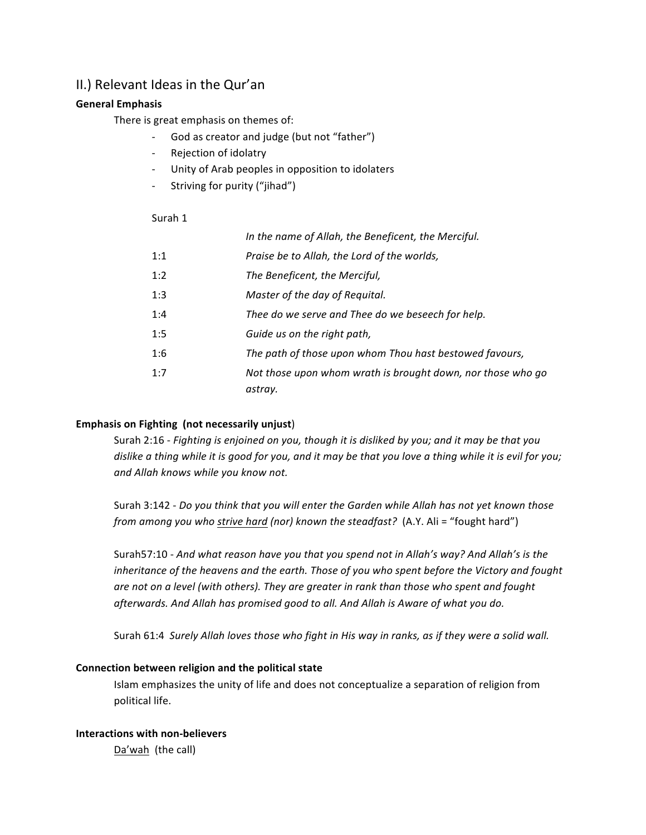# II.) Relevant Ideas in the Qur'an

# **General Emphasis**

There is great emphasis on themes of:

- God as creator and judge (but not "father")
- Rejection of idolatry
- Unity of Arab peoples in opposition to idolaters
- Striving for purity ("jihad")

# Surah 1

|     | In the name of Allah, the Beneficent, the Merciful.         |
|-----|-------------------------------------------------------------|
| 1:1 | Praise be to Allah, the Lord of the worlds,                 |
| 1:2 | The Beneficent, the Merciful,                               |
| 1:3 | Master of the day of Requital.                              |
| 1:4 | Thee do we serve and Thee do we beseech for help.           |
| 1:5 | Guide us on the right path,                                 |
| 1:6 | The path of those upon whom Thou hast bestowed favours,     |
| 1:7 | Not those upon whom wrath is brought down, nor those who go |
|     | astray.                                                     |

# **Emphasis on Fighting (not necessarily unjust)**

Surah 2:16 - Fighting is enjoined on you, though it is disliked by you; and it may be that you *dislike a thing while it is good for you, and it may be that you love a thing while it is evil for you; and Allah knows while you know not.*

Surah 3:142 - *Do you think that you will enter the Garden while Allah has not yet known those from among you who strive hard (nor)* known the steadfast? (A.Y. Ali = "fought hard")

Surah57:10 - And what reason have you that you spend not in Allah's way? And Allah's is the *inheritance of the heavens and the earth. Those of you who spent before the Victory and fought are not on a level (with others). They are greater in rank than those who spent and fought* afterwards. And Allah has promised good to all. And Allah is Aware of what you do.

Surah 61:4 Surely Allah loves those who fight in His way in ranks, as if they were a solid wall.

## **Connection between religion and the political state**

Islam emphasizes the unity of life and does not conceptualize a separation of religion from political life.

## **Interactions with non-believers**

Da'wah (the call)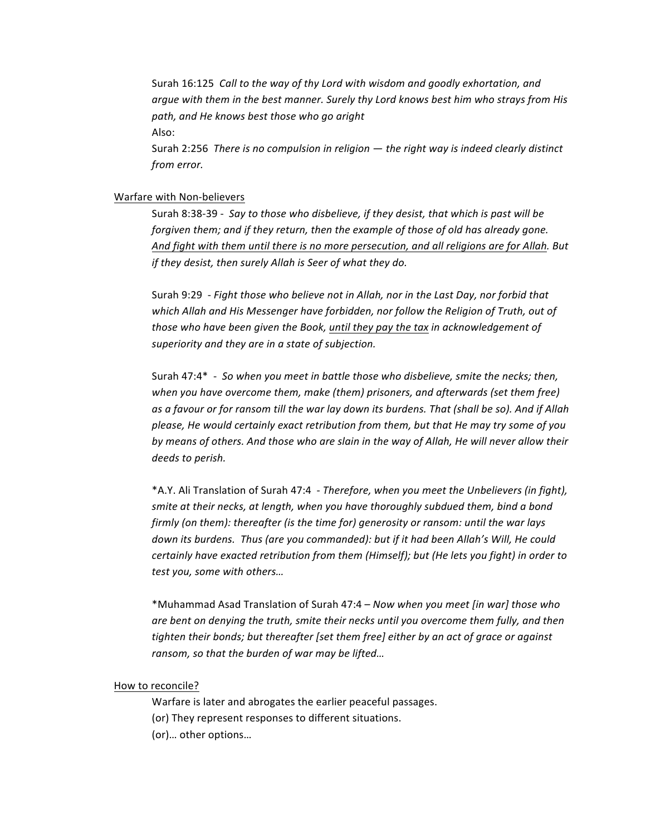Surah 16:125 Call to the way of thy Lord with wisdom and goodly exhortation, and *argue* with them in the best manner. Surely thy Lord knows best him who strays from His *path, and He knows best those who go aright* Also:

Surah 2:256 There is no compulsion in religion — the right way is indeed clearly distinct *from error.*

#### Warfare with Non-believers

Surah 8:38-39 - *Say to those who disbelieve, if they desist, that which is past will be forgiven them; and if they return, then the example of those of old has already gone.* And fight with them until there is no more persecution, and all religions are for Allah. But *if they desist, then surely Allah is Seer of what they do.* 

Surah 9:29 - Fight those who believe not in Allah, nor in the Last Day, nor forbid that which Allah and His Messenger have forbidden, nor follow the Religion of Truth, out of *those* who have been given the Book, until they pay the tax in acknowledgement of superiority and they are in a state of subjection.

Surah 47:4\* - So when you meet in battle those who disbelieve, smite the necks; then, when you have overcome them, make (them) prisoners, and afterwards (set them free) as a favour or for ransom till the war lay down its burdens. That (shall be so). And if Allah please, He would certainly exact retribution from them, but that He may try some of you by means of others. And those who are slain in the way of Allah, He will never allow their *deeds to perish.*

\*A.Y. Ali Translation of Surah 47:4 - *Therefore, when you meet the Unbelievers (in fight), smite* at their necks, at length, when you have thoroughly subdued them, bind a bond *firmly* (on them): thereafter (is the time for) generosity or ransom: until the war lays *down* its burdens. Thus (are you commanded): but if it had been Allah's Will, He could *certainly have exacted retribution from them (Himself); but (He lets you fight) in order to test you, some with others...* 

\*Muhammad Asad Translation of Surah 47:4 – *Now when you meet [in war] those who*  are bent on denying the truth, smite their necks until you overcome them fully, and then tighten their bonds; but thereafter [set them free] either by an act of grace or against *ransom, so that the burden of war may be lifted...* 

#### How to reconcile?

Warfare is later and abrogates the earlier peaceful passages. (or) They represent responses to different situations. (or)... other options...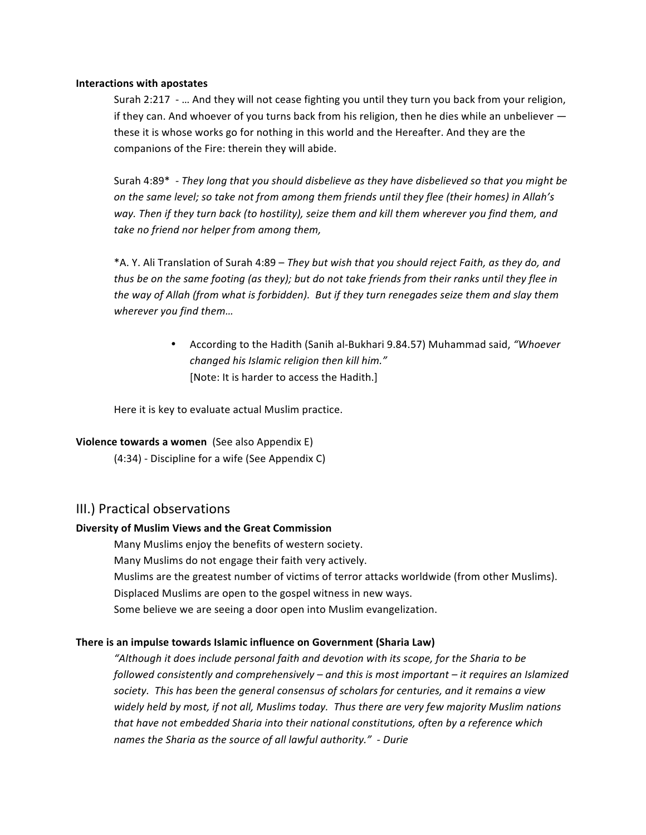#### **Interactions with apostates**

Surah  $2:217 - ...$  And they will not cease fighting you until they turn you back from your religion, if they can. And whoever of you turns back from his religion, then he dies while an unbeliever  $$ these it is whose works go for nothing in this world and the Hereafter. And they are the companions of the Fire: therein they will abide.

Surah 4:89<sup>\*</sup> - They long that you should disbelieve as they have disbelieved so that you might be on the same level; so take not from among them friends until they flee (their homes) in Allah's way. Then if they turn back (to hostility), seize them and kill them wherever you find them, and take no friend nor helper from among them,

\*A. Y. Ali Translation of Surah 4:89 – *They but wish that you should reject Faith, as they do, and thus* be on the same footing (as they); but do not take friends from their ranks until they flee in the way of Allah (from what is forbidden). But if they turn renegades seize them and slay them wherever you find them...

> • According to the Hadith (Sanih al-Bukhari 9.84.57) Muhammad said, "Whoever *changed his Islamic religion then kill him."* [Note: It is harder to access the Hadith.]

Here it is key to evaluate actual Muslim practice.

#### **Violence towards a women** (See also Appendix E)

(4:34) - Discipline for a wife (See Appendix C)

# III.) Practical observations

#### **Diversity of Muslim Views and the Great Commission**

Many Muslims enjoy the benefits of western society.

Many Muslims do not engage their faith very actively.

Muslims are the greatest number of victims of terror attacks worldwide (from other Muslims).

Displaced Muslims are open to the gospel witness in new ways.

Some believe we are seeing a door open into Muslim evangelization.

#### **There is an impulse towards Islamic influence on Government (Sharia Law)**

"Although it does include personal faith and devotion with its scope, for the Sharia to be *followed consistently and comprehensively* – and this is most important – it requires an Islamized society. This has been the general consensus of scholars for centuries, and it remains a view widely held by most, if not all, Muslims today. Thus there are very few majority Muslim nations that have not embedded Sharia into their national constitutions, often by a reference which names the Sharia as the source of all lawful authority." - Durie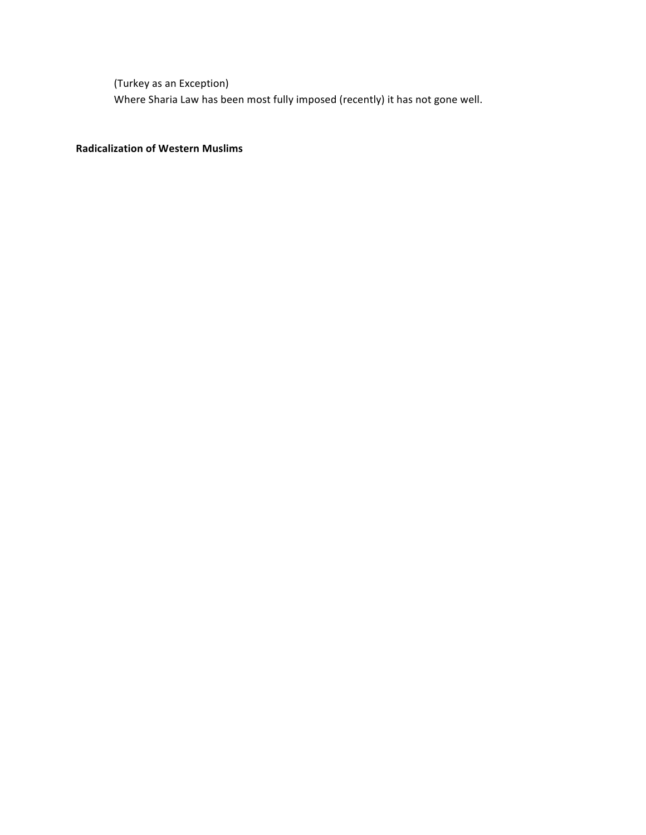(Turkey as an Exception)

Where Sharia Law has been most fully imposed (recently) it has not gone well.

**Radicalization of Western Muslims**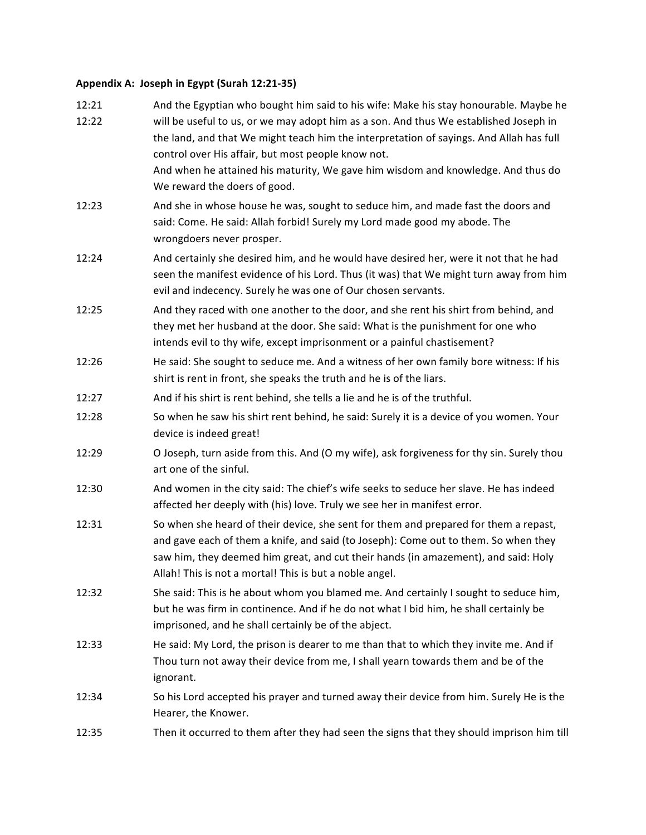# Appendix A: Joseph in Egypt (Surah 12:21-35)

| 12:21 | And the Egyptian who bought him said to his wife: Make his stay honourable. Maybe he                                                                                                                                                                                                                                         |
|-------|------------------------------------------------------------------------------------------------------------------------------------------------------------------------------------------------------------------------------------------------------------------------------------------------------------------------------|
| 12:22 | will be useful to us, or we may adopt him as a son. And thus We established Joseph in                                                                                                                                                                                                                                        |
|       | the land, and that We might teach him the interpretation of sayings. And Allah has full                                                                                                                                                                                                                                      |
|       | control over His affair, but most people know not.                                                                                                                                                                                                                                                                           |
|       | And when he attained his maturity, We gave him wisdom and knowledge. And thus do<br>We reward the doers of good.                                                                                                                                                                                                             |
| 12:23 | And she in whose house he was, sought to seduce him, and made fast the doors and<br>said: Come. He said: Allah forbid! Surely my Lord made good my abode. The<br>wrongdoers never prosper.                                                                                                                                   |
| 12:24 | And certainly she desired him, and he would have desired her, were it not that he had<br>seen the manifest evidence of his Lord. Thus (it was) that We might turn away from him<br>evil and indecency. Surely he was one of Our chosen servants.                                                                             |
| 12:25 | And they raced with one another to the door, and she rent his shirt from behind, and<br>they met her husband at the door. She said: What is the punishment for one who<br>intends evil to thy wife, except imprisonment or a painful chastisement?                                                                           |
| 12:26 | He said: She sought to seduce me. And a witness of her own family bore witness: If his<br>shirt is rent in front, she speaks the truth and he is of the liars.                                                                                                                                                               |
| 12:27 | And if his shirt is rent behind, she tells a lie and he is of the truthful.                                                                                                                                                                                                                                                  |
| 12:28 | So when he saw his shirt rent behind, he said: Surely it is a device of you women. Your<br>device is indeed great!                                                                                                                                                                                                           |
| 12:29 | O Joseph, turn aside from this. And (O my wife), ask forgiveness for thy sin. Surely thou<br>art one of the sinful.                                                                                                                                                                                                          |
| 12:30 | And women in the city said: The chief's wife seeks to seduce her slave. He has indeed<br>affected her deeply with (his) love. Truly we see her in manifest error.                                                                                                                                                            |
| 12:31 | So when she heard of their device, she sent for them and prepared for them a repast,<br>and gave each of them a knife, and said (to Joseph): Come out to them. So when they<br>saw him, they deemed him great, and cut their hands (in amazement), and said: Holy<br>Allah! This is not a mortal! This is but a noble angel. |
| 12:32 | She said: This is he about whom you blamed me. And certainly I sought to seduce him,<br>but he was firm in continence. And if he do not what I bid him, he shall certainly be<br>imprisoned, and he shall certainly be of the abject.                                                                                        |
| 12:33 | He said: My Lord, the prison is dearer to me than that to which they invite me. And if<br>Thou turn not away their device from me, I shall yearn towards them and be of the<br>ignorant.                                                                                                                                     |
| 12:34 | So his Lord accepted his prayer and turned away their device from him. Surely He is the<br>Hearer, the Knower.                                                                                                                                                                                                               |
| 12:35 | Then it occurred to them after they had seen the signs that they should imprison him till                                                                                                                                                                                                                                    |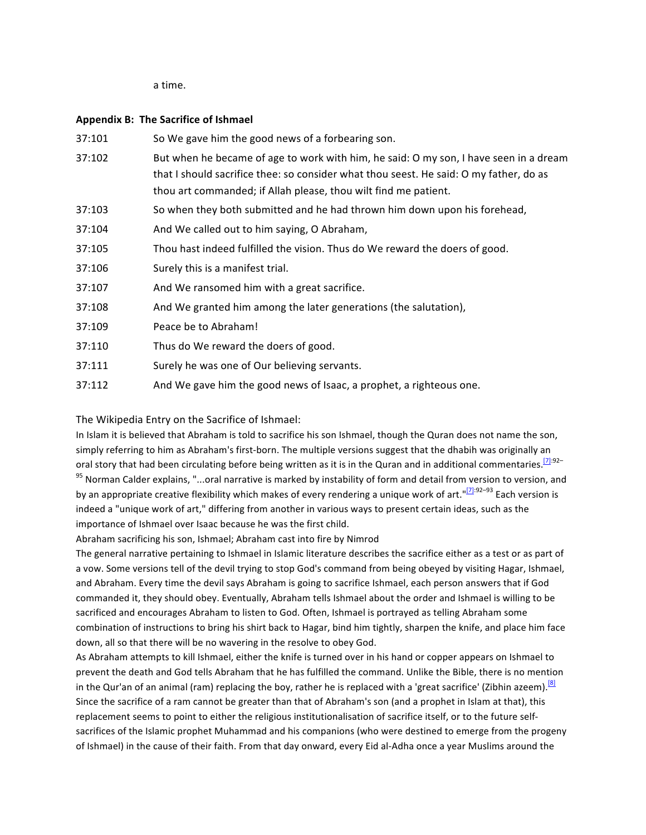a time. 

#### Appendix B: The Sacrifice of Ishmael

| 37:101 | So We gave him the good news of a forbearing son.                                                                                                                                                                                                  |
|--------|----------------------------------------------------------------------------------------------------------------------------------------------------------------------------------------------------------------------------------------------------|
| 37:102 | But when he became of age to work with him, he said: O my son, I have seen in a dream<br>that I should sacrifice thee: so consider what thou seest. He said: O my father, do as<br>thou art commanded; if Allah please, thou wilt find me patient. |
| 37:103 | So when they both submitted and he had thrown him down upon his forehead,                                                                                                                                                                          |
| 37:104 | And We called out to him saying, O Abraham,                                                                                                                                                                                                        |
| 37:105 | Thou hast indeed fulfilled the vision. Thus do We reward the doers of good.                                                                                                                                                                        |
| 37:106 | Surely this is a manifest trial.                                                                                                                                                                                                                   |
| 37:107 | And We ransomed him with a great sacrifice.                                                                                                                                                                                                        |
| 37:108 | And We granted him among the later generations (the salutation),                                                                                                                                                                                   |
| 37:109 | Peace be to Abraham!                                                                                                                                                                                                                               |
| 37:110 | Thus do We reward the doers of good.                                                                                                                                                                                                               |
| 37:111 | Surely he was one of Our believing servants.                                                                                                                                                                                                       |
| 37:112 | And We gave him the good news of Isaac, a prophet, a righteous one.                                                                                                                                                                                |

## The Wikipedia Entry on the Sacrifice of Ishmael:

In Islam it is believed that Abraham is told to sacrifice his son Ishmael, though the Quran does not name the son, simply referring to him as Abraham's first-born. The multiple versions suggest that the dhabih was originally an oral story that had been circulating before being written as it is in the Quran and in additional commentaries.<sup>[7]:92-</sup>  $95$  Norman Calder explains, "...oral narrative is marked by instability of form and detail from version to version, and by an appropriate creative flexibility which makes of every rendering a unique work of art."<sup>[7]:92–93</sup> Each version is indeed a "unique work of art," differing from another in various ways to present certain ideas, such as the importance of Ishmael over Isaac because he was the first child.

Abraham sacrificing his son, Ishmael; Abraham cast into fire by Nimrod

The general narrative pertaining to Ishmael in Islamic literature describes the sacrifice either as a test or as part of a vow. Some versions tell of the devil trying to stop God's command from being obeyed by visiting Hagar, Ishmael, and Abraham. Every time the devil says Abraham is going to sacrifice Ishmael, each person answers that if God commanded it, they should obey. Eventually, Abraham tells Ishmael about the order and Ishmael is willing to be sacrificed and encourages Abraham to listen to God. Often, Ishmael is portrayed as telling Abraham some combination of instructions to bring his shirt back to Hagar, bind him tightly, sharpen the knife, and place him face down, all so that there will be no wavering in the resolve to obey God.

As Abraham attempts to kill Ishmael, either the knife is turned over in his hand or copper appears on Ishmael to prevent the death and God tells Abraham that he has fulfilled the command. Unlike the Bible, there is no mention in the Qur'an of an animal (ram) replacing the boy, rather he is replaced with a 'great sacrifice' (Zibhin azeem).<sup>[8]</sup> Since the sacrifice of a ram cannot be greater than that of Abraham's son (and a prophet in Islam at that), this replacement seems to point to either the religious institutionalisation of sacrifice itself, or to the future selfsacrifices of the Islamic prophet Muhammad and his companions (who were destined to emerge from the progeny of Ishmael) in the cause of their faith. From that day onward, every Eid al-Adha once a year Muslims around the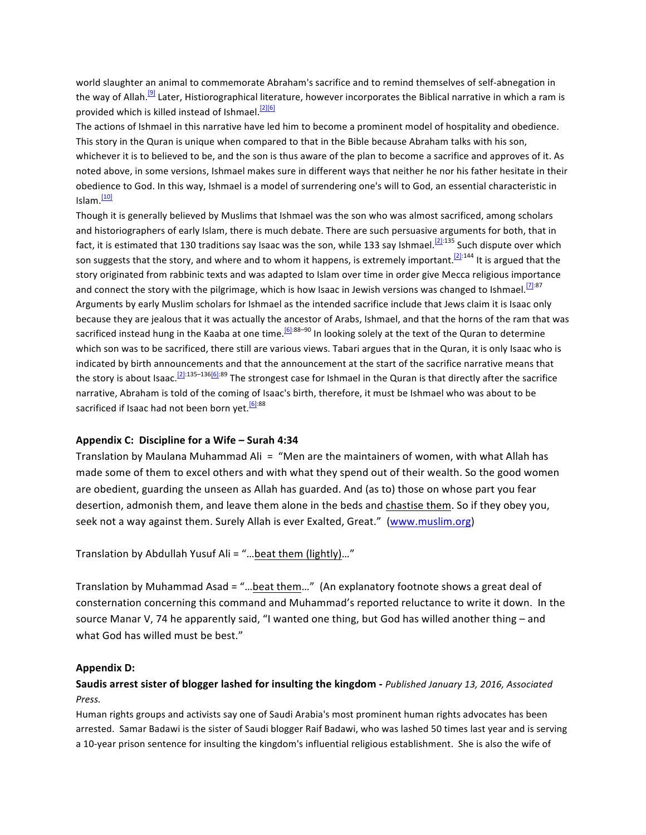world slaughter an animal to commemorate Abraham's sacrifice and to remind themselves of self-abnegation in the way of Allah.<sup>[9]</sup> Later, Histiorographical literature, however incorporates the Biblical narrative in which a ram is provided which is killed instead of Ishmael.<sup>[2][6]</sup>

The actions of Ishmael in this narrative have led him to become a prominent model of hospitality and obedience. This story in the Quran is unique when compared to that in the Bible because Abraham talks with his son, whichever it is to believed to be, and the son is thus aware of the plan to become a sacrifice and approves of it. As noted above, in some versions, Ishmael makes sure in different ways that neither he nor his father hesitate in their obedience to God. In this way, Ishmael is a model of surrendering one's will to God, an essential characteristic in Islam. $\frac{100}{100}$ 

Though it is generally believed by Muslims that Ishmael was the son who was almost sacrificed, among scholars and historiographers of early Islam, there is much debate. There are such persuasive arguments for both, that in fact, it is estimated that 130 traditions say Isaac was the son, while 133 say Ishmael.<sup>[2]:135</sup> Such dispute over which son suggests that the story, and where and to whom it happens, is extremely important.<sup>[2]:144</sup> It is argued that the story originated from rabbinic texts and was adapted to Islam over time in order give Mecca religious importance and connect the story with the pilgrimage, which is how Isaac in Jewish versions was changed to Ishmael.<sup>[7]:87</sup> Arguments by early Muslim scholars for Ishmael as the intended sacrifice include that Jews claim it is Isaac only because they are jealous that it was actually the ancestor of Arabs, Ishmael, and that the horns of the ram that was sacrificed instead hung in the Kaaba at one time.<sup>[6]:88–90</sup> In looking solely at the text of the Quran to determine which son was to be sacrificed, there still are various views. Tabari argues that in the Quran, it is only Isaac who is indicated by birth announcements and that the announcement at the start of the sacrifice narrative means that the story is about Isaac.  $[2]$ :135–136[6]:89 The strongest case for Ishmael in the Quran is that directly after the sacrifice narrative, Abraham is told of the coming of Isaac's birth, therefore, it must be Ishmael who was about to be sacrificed if Isaac had not been born yet.<sup>[6]:88</sup>

#### Appendix C: Discipline for a Wife – Surah 4:34

Translation by Maulana Muhammad Ali = "Men are the maintainers of women, with what Allah has made some of them to excel others and with what they spend out of their wealth. So the good women are obedient, guarding the unseen as Allah has guarded. And (as to) those on whose part you fear desertion, admonish them, and leave them alone in the beds and chastise them. So if they obey you, seek not a way against them. Surely Allah is ever Exalted, Great." (www.muslim.org)

Translation by Abdullah Yusuf Ali = "... beat them (lightly)..."

Translation by Muhammad Asad = "...beat them..." (An explanatory footnote shows a great deal of consternation concerning this command and Muhammad's reported reluctance to write it down. In the source Manar V, 74 he apparently said, "I wanted one thing, but God has willed another thing - and what God has willed must be best."

#### **Appendix D:**

# Saudis arrest sister of blogger lashed for insulting the kingdom - Published January 13, 2016, Associated *Press.*

Human rights groups and activists say one of Saudi Arabia's most prominent human rights advocates has been arrested. Samar Badawi is the sister of Saudi blogger Raif Badawi, who was lashed 50 times last year and is serving a 10-year prison sentence for insulting the kingdom's influential religious establishment. She is also the wife of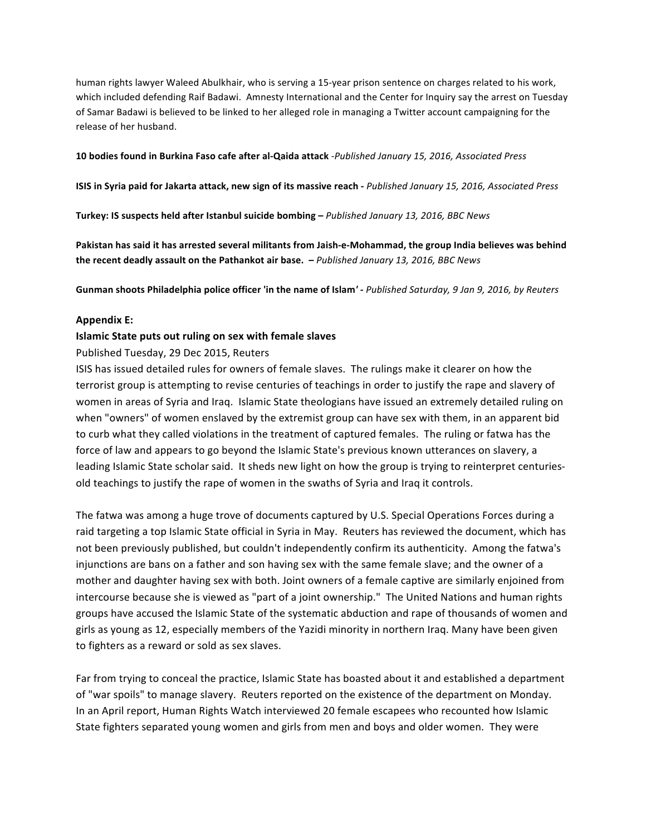human rights lawyer Waleed Abulkhair, who is serving a 15-year prison sentence on charges related to his work, which included defending Raif Badawi. Amnesty International and the Center for Inquiry say the arrest on Tuesday of Samar Badawi is believed to be linked to her alleged role in managing a Twitter account campaigning for the release of her husband.

10 bodies found in Burkina Faso cafe after al-Qaida attack -Published January 15, 2016, Associated Press

**ISIS** in Syria paid for Jakarta attack, new sign of its massive reach - Published January 15, 2016, Associated Press

**Turkey: IS suspects held after Istanbul suicide bombing –** *Published January 13, 2016, BBC News*

Pakistan has said it has arrested several militants from Jaish-e-Mohammad, the group India believes was behind the recent deadly assault on the Pathankot air base. - Published January 13, 2016, BBC News

Gunman shoots Philadelphia police officer 'in the name of Islam' - Published Saturday, 9 Jan 9, 2016, by Reuters

#### **Appendix E:**

#### **Islamic State puts out ruling on sex with female slaves**

#### Published Tuesday, 29 Dec 2015, Reuters

ISIS has issued detailed rules for owners of female slaves. The rulings make it clearer on how the terrorist group is attempting to revise centuries of teachings in order to justify the rape and slavery of women in areas of Syria and Iraq. Islamic State theologians have issued an extremely detailed ruling on when "owners" of women enslaved by the extremist group can have sex with them, in an apparent bid to curb what they called violations in the treatment of captured females. The ruling or fatwa has the force of law and appears to go beyond the Islamic State's previous known utterances on slavery, a leading Islamic State scholar said. It sheds new light on how the group is trying to reinterpret centuriesold teachings to justify the rape of women in the swaths of Syria and Iraq it controls.

The fatwa was among a huge trove of documents captured by U.S. Special Operations Forces during a raid targeting a top Islamic State official in Syria in May. Reuters has reviewed the document, which has not been previously published, but couldn't independently confirm its authenticity. Among the fatwa's injunctions are bans on a father and son having sex with the same female slave; and the owner of a mother and daughter having sex with both. Joint owners of a female captive are similarly enjoined from intercourse because she is viewed as "part of a joint ownership." The United Nations and human rights groups have accused the Islamic State of the systematic abduction and rape of thousands of women and girls as young as 12, especially members of the Yazidi minority in northern Iraq. Many have been given to fighters as a reward or sold as sex slaves.

Far from trying to conceal the practice, Islamic State has boasted about it and established a department of "war spoils" to manage slavery. Reuters reported on the existence of the department on Monday. In an April report, Human Rights Watch interviewed 20 female escapees who recounted how Islamic State fighters separated young women and girls from men and boys and older women. They were